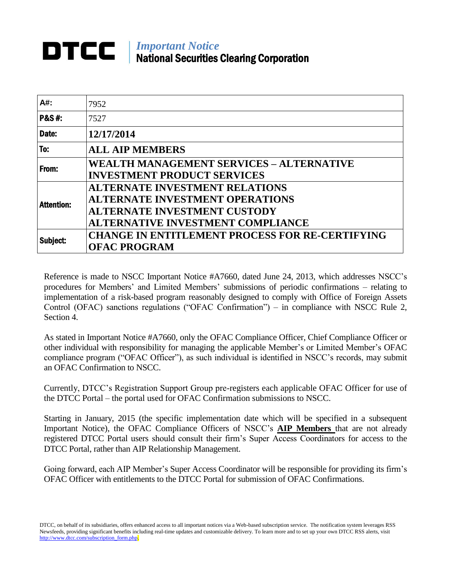## *Important Notice* National Securities Clearing Corporation

| A#:               | 7952                                                                                                                                                               |
|-------------------|--------------------------------------------------------------------------------------------------------------------------------------------------------------------|
| <b>P&amp;S#:</b>  | 7527                                                                                                                                                               |
| Date:             | 12/17/2014                                                                                                                                                         |
| To:               | <b>ALL AIP MEMBERS</b>                                                                                                                                             |
| From:             | <b>WEALTH MANAGEMENT SERVICES - ALTERNATIVE</b><br><b>INVESTMENT PRODUCT SERVICES</b>                                                                              |
| <b>Attention:</b> | <b>ALTERNATE INVESTMENT RELATIONS</b><br><b>ALTERNATE INVESTMENT OPERATIONS</b><br><b>ALTERNATE INVESTMENT CUSTODY</b><br><b>ALTERNATIVE INVESTMENT COMPLIANCE</b> |
| Subject:          | <b>CHANGE IN ENTITLEMENT PROCESS FOR RE-CERTIFYING</b><br><b>OFAC PROGRAM</b>                                                                                      |

Reference is made to NSCC Important Notice #A7660, dated June 24, 2013, which addresses NSCC's procedures for Members' and Limited Members' submissions of periodic confirmations – relating to implementation of a risk-based program reasonably designed to comply with Office of Foreign Assets Control (OFAC) sanctions regulations ("OFAC Confirmation") – in compliance with NSCC Rule 2, Section 4.

As stated in Important Notice #A7660, only the OFAC Compliance Officer, Chief Compliance Officer or other individual with responsibility for managing the applicable Member's or Limited Member's OFAC compliance program ("OFAC Officer"), as such individual is identified in NSCC's records, may submit an OFAC Confirmation to NSCC.

Currently, DTCC's Registration Support Group pre-registers each applicable OFAC Officer for use of the DTCC Portal – the portal used for OFAC Confirmation submissions to NSCC.

Starting in January, 2015 (the specific implementation date which will be specified in a subsequent Important Notice), the OFAC Compliance Officers of NSCC's **AIP Members** that are not already registered DTCC Portal users should consult their firm's Super Access Coordinators for access to the DTCC Portal, rather than AIP Relationship Management.

Going forward, each AIP Member's Super Access Coordinator will be responsible for providing its firm's OFAC Officer with entitlements to the DTCC Portal for submission of OFAC Confirmations.

DTCC, on behalf of its subsidiaries, offers enhanced access to all important notices via a Web-based subscription service. The notification system leverages RSS Newsfeeds, providing significant benefits including real-time updates and customizable delivery. To learn more and to set up your own DTCC RSS alerts, visit [http://www.dtcc.com/subscription\\_form.php.](http://www.dtcc.com/subscription_form.php)